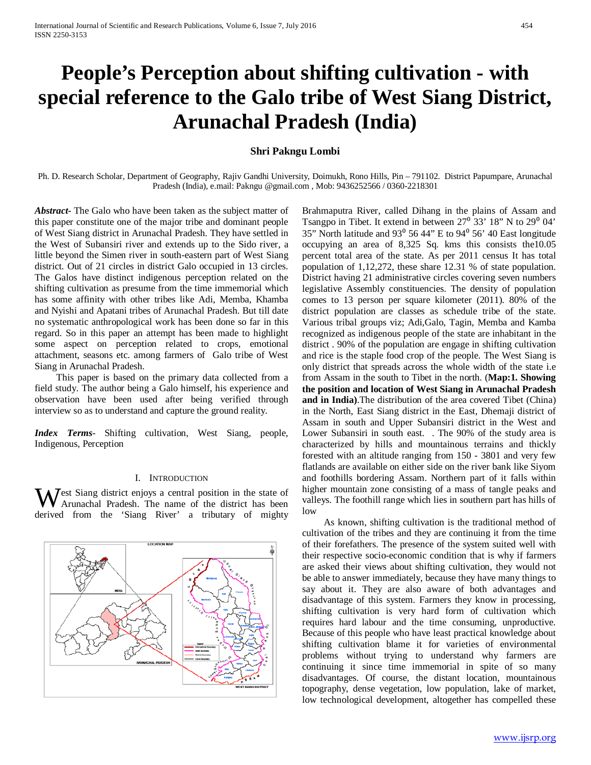# **People's Perception about shifting cultivation - with special reference to the Galo tribe of West Siang District, Arunachal Pradesh (India)**

# **Shri Pakngu Lombi**

Ph. D. Research Scholar, Department of Geography, Rajiv Gandhi University, Doimukh, Rono Hills, Pin – 791102. District Papumpare, Arunachal Pradesh (India), e.mail: Pakngu @gmail.com , Mob: 9436252566 / 0360-2218301

*Abstract***-** The Galo who have been taken as the subject matter of this paper constitute one of the major tribe and dominant people of West Siang district in Arunachal Pradesh. They have settled in the West of Subansiri river and extends up to the Sido river, a little beyond the Simen river in south-eastern part of West Siang district. Out of 21 circles in district Galo occupied in 13 circles. The Galos have distinct indigenous perception related on the shifting cultivation as presume from the time immemorial which has some affinity with other tribes like Adi, Memba, Khamba and Nyishi and Apatani tribes of Arunachal Pradesh. But till date no systematic anthropological work has been done so far in this regard. So in this paper an attempt has been made to highlight some aspect on perception related to crops, emotional attachment, seasons etc. among farmers of Galo tribe of West Siang in Arunachal Pradesh.

 This paper is based on the primary data collected from a field study. The author being a Galo himself, his experience and observation have been used after being verified through interview so as to understand and capture the ground reality.

*Index Terms*- Shifting cultivation, West Siang, people, Indigenous, Perception

#### I. INTRODUCTION

 $\mathcal{J}$  est Siang district enjoys a central position in the state of Arunachal Pradesh. The name of the district has been West Siang district enjoys a central position in the state of Arunachal Pradesh. The name of the district has been derived from the 'Siang River' a tributary of mighty



Brahmaputra River, called Dihang in the plains of Assam and Tsangpo in Tibet. It extend in between  $27^{\circ}$  33' 18" N to  $29^{\circ}$  04' 35" North latitude and  $93^{\circ}$  56 44" E to  $94^{\circ}$  56' 40 East longitude occupying an area of 8,325 Sq. kms this consists the10.05 percent total area of the state. As per 2011 census It has total population of 1,12,272, these share 12.31 % of state population. District having 21 administrative circles covering seven numbers legislative Assembly constituencies. The density of population comes to 13 person per square kilometer (2011). 80% of the district population are classes as schedule tribe of the state. Various tribal groups viz; Adi,Galo, Tagin, Memba and Kamba recognized as indigenous people of the state are inhabitant in the district . 90% of the population are engage in shifting cultivation and rice is the staple food crop of the people. The West Siang is only district that spreads across the whole width of the state i.e from Assam in the south to Tibet in the north. (**Map:1. Showing the position and location of West Siang in Arunachal Pradesh and in India)**.The distribution of the area covered Tibet (China) in the North, East Siang district in the East, Dhemaji district of Assam in south and Upper Subansiri district in the West and Lower Subansiri in south east. . The 90% of the study area is characterized by hills and mountainous terrains and thickly forested with an altitude ranging from 150 - 3801 and very few flatlands are available on either side on the river bank like Siyom and foothills bordering Assam. Northern part of it falls within higher mountain zone consisting of a mass of tangle peaks and valleys. The foothill range which lies in southern part has hills of low

 As known, shifting cultivation is the traditional method of cultivation of the tribes and they are continuing it from the time of their forefathers. The presence of the system suited well with their respective socio-economic condition that is why if farmers are asked their views about shifting cultivation, they would not be able to answer immediately, because they have many things to say about it. They are also aware of both advantages and disadvantage of this system. Farmers they know in processing, shifting cultivation is very hard form of cultivation which requires hard labour and the time consuming, unproductive. Because of this people who have least practical knowledge about shifting cultivation blame it for varieties of environmental problems without trying to understand why farmers are continuing it since time immemorial in spite of so many disadvantages. Of course, the distant location, mountainous topography, dense vegetation, low population, lake of market, low technological development, altogether has compelled these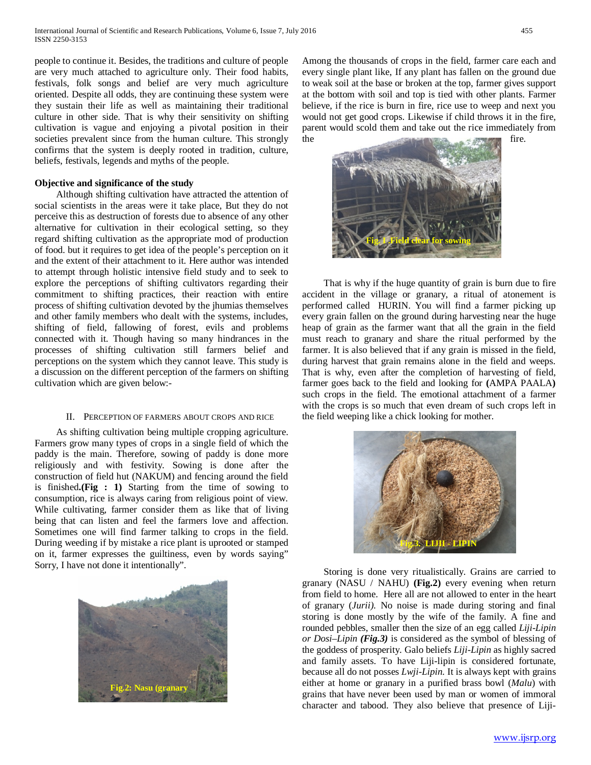people to continue it. Besides, the traditions and culture of people are very much attached to agriculture only. Their food habits, festivals, folk songs and belief are very much agriculture oriented. Despite all odds, they are continuing these system were they sustain their life as well as maintaining their traditional culture in other side. That is why their sensitivity on shifting cultivation is vague and enjoying a pivotal position in their societies prevalent since from the human culture. This strongly confirms that the system is deeply rooted in tradition, culture, beliefs, festivals, legends and myths of the people.

# **Objective and significance of the study**

 Although shifting cultivation have attracted the attention of social scientists in the areas were it take place, But they do not perceive this as destruction of forests due to absence of any other alternative for cultivation in their ecological setting, so they regard shifting cultivation as the appropriate mod of production of food. but it requires to get idea of the people's perception on it and the extent of their attachment to it. Here author was intended to attempt through holistic intensive field study and to seek to explore the perceptions of shifting cultivators regarding their commitment to shifting practices, their reaction with entire process of shifting cultivation devoted by the jhumias themselves and other family members who dealt with the systems, includes, shifting of field, fallowing of forest, evils and problems connected with it. Though having so many hindrances in the processes of shifting cultivation still farmers belief and perceptions on the system which they cannot leave. This study is a discussion on the different perception of the farmers on shifting cultivation which are given below:-

### II. PERCEPTION OF FARMERS ABOUT CROPS AND RICE

 As shifting cultivation being multiple cropping agriculture. Farmers grow many types of crops in a single field of which the paddy is the main. Therefore, sowing of paddy is done more religiously and with festivity. Sowing is done after the construction of field hut (NAKUM) and fencing around the field is finished**.(Fig : 1)** Starting from the time of sowing to consumption, rice is always caring from religious point of view. While cultivating, farmer consider them as like that of living being that can listen and feel the farmers love and affection. Sometimes one will find farmer talking to crops in the field. During weeding if by mistake a rice plant is uprooted or stamped on it, farmer expresses the guiltiness, even by words saying" Sorry, I have not done it intentionally".



 **Fig.2: Nasu (granary**

Among the thousands of crops in the field, farmer care each and every single plant like, If any plant has fallen on the ground due to weak soil at the base or broken at the top, farmer gives support at the bottom with soil and top is tied with other plants. Farmer believe, if the rice is burn in fire, rice use to weep and next you would not get good crops. Likewise if child throws it in the fire, parent would scold them and take out the rice immediately from the fire.



 That is why if the huge quantity of grain is burn due to fire accident in the village or granary, a ritual of atonement is performed calledHURIN. You will find a farmer picking up every grain fallen on the ground during harvesting near the huge heap of grain as the farmer want that all the grain in the field must reach to granary and share the ritual performed by the farmer. It is also believed that if any grain is missed in the field, during harvest that grain remains alone in the field and weeps. That is why, even after the completion of harvesting of field, farmer goes back to the field and looking for **(**AMPA PAALA**)** such crops in the field. The emotional attachment of a farmer with the crops is so much that even dream of such crops left in the field weeping like a chick looking for mother.



 Storing is done very ritualistically. Grains are carried to granary (NASU / NAHU) **(Fig.2)** every evening when return from field to home. Here all are not allowed to enter in the heart of granary (*Jurii)*. No noise is made during storing and final storing is done mostly by the wife of the family. A fine and rounded pebbles, smaller then the size of an egg called *Liji-Lipin or Dosi–Lipin (Fig.3)* is considered as the symbol of blessing of the goddess of prosperity. Galo beliefs *Liji-Lipin* as highly sacred and family assets. To have Liji-lipin is considered fortunate, because all do not posses *Lwji-Lipin.* It is always kept with grains either at home or granary in a purified brass bowl (*Malu*) with grains that have never been used by man or women of immoral character and tabood. They also believe that presence of Liji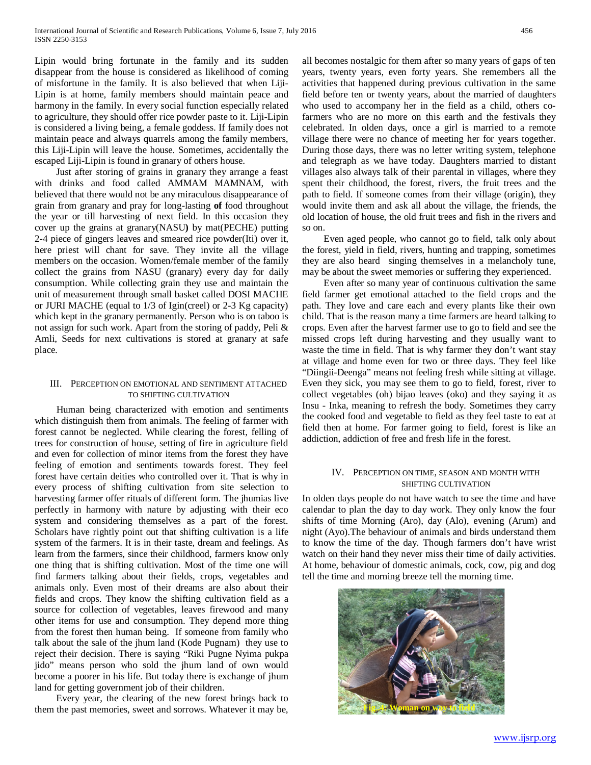Lipin would bring fortunate in the family and its sudden disappear from the house is considered as likelihood of coming of misfortune in the family. It is also believed that when Liji-Lipin is at home, family members should maintain peace and harmony in the family. In every social function especially related to agriculture, they should offer rice powder paste to it. Liji-Lipin is considered a living being, a female goddess. If family does not maintain peace and always quarrels among the family members, this Liji-Lipin will leave the house. Sometimes, accidentally the escaped Liji-Lipin is found in granary of others house.

 Just after storing of grains in granary they arrange a feast with drinks and food called AMMAM MAMNAM, with believed that there would not be any miraculous disappearance of grain from granary and pray for long-lasting **of** food throughout the year or till harvesting of next field. In this occasion they cover up the grains at granary(NASU**)** by mat(PECHE) putting 2-4 piece of gingers leaves and smeared rice powder(Iti) over it, here priest will chant for save. They invite all the village members on the occasion. Women/female member of the family collect the grains from NASU (granary) every day for daily consumption. While collecting grain they use and maintain the unit of measurement through small basket called DOSI MACHE or JURI MACHE (equal to 1/3 of Igin(creel) or 2-3 Kg capacity) which kept in the granary permanently. Person who is on taboo is not assign for such work. Apart from the storing of paddy, Peli & Amli, Seeds for next cultivations is stored at granary at safe place.

# III. PERCEPTION ON EMOTIONAL AND SENTIMENT ATTACHED TO SHIFTING CULTIVATION

 Human being characterized with emotion and sentiments which distinguish them from animals. The feeling of farmer with forest cannot be neglected. While clearing the forest, felling of trees for construction of house, setting of fire in agriculture field and even for collection of minor items from the forest they have feeling of emotion and sentiments towards forest. They feel forest have certain deities who controlled over it. That is why in every process of shifting cultivation from site selection to harvesting farmer offer rituals of different form. The jhumias live perfectly in harmony with nature by adjusting with their eco system and considering themselves as a part of the forest. Scholars have rightly point out that shifting cultivation is a life system of the farmers. It is in their taste, dream and feelings. As learn from the farmers, since their childhood, farmers know only one thing that is shifting cultivation. Most of the time one will find farmers talking about their fields, crops, vegetables and animals only. Even most of their dreams are also about their fields and crops. They know the shifting cultivation field as a source for collection of vegetables, leaves firewood and many other items for use and consumption. They depend more thing from the forest then human being. If someone from family who talk about the sale of the jhum land (Kode Pugnam) they use to reject their decision. There is saying "Riki Pugne Nyima pukpa jido" means person who sold the jhum land of own would become a poorer in his life. But today there is exchange of jhum land for getting government job of their children.

 Every year, the clearing of the new forest brings back to them the past memories, sweet and sorrows. Whatever it may be, all becomes nostalgic for them after so many years of gaps of ten years, twenty years, even forty years. She remembers all the activities that happened during previous cultivation in the same field before ten or twenty years, about the married of daughters who used to accompany her in the field as a child, others cofarmers who are no more on this earth and the festivals they celebrated. In olden days, once a girl is married to a remote village there were no chance of meeting her for years together. During those days, there was no letter writing system, telephone and telegraph as we have today. Daughters married to distant villages also always talk of their parental in villages, where they spent their childhood, the forest, rivers, the fruit trees and the path to field. If someone comes from their village (origin), they would invite them and ask all about the village, the friends, the old location of house, the old fruit trees and fish in the rivers and so on.

 Even aged people, who cannot go to field, talk only about the forest, yield in field, rivers, hunting and trapping, sometimes they are also heard singing themselves in a melancholy tune, may be about the sweet memories or suffering they experienced.

 Even after so many year of continuous cultivation the same field farmer get emotional attached to the field crops and the path. They love and care each and every plants like their own child. That is the reason many a time farmers are heard talking to crops. Even after the harvest farmer use to go to field and see the missed crops left during harvesting and they usually want to waste the time in field. That is why farmer they don't want stay at village and home even for two or three days. They feel like "Diingii-Deenga" means not feeling fresh while sitting at village. Even they sick, you may see them to go to field, forest, river to collect vegetables (oh) bijao leaves (oko) and they saying it as Insu - Inka, meaning to refresh the body. Sometimes they carry the cooked food and vegetable to field as they feel taste to eat at field then at home. For farmer going to field, forest is like an addiction, addiction of free and fresh life in the forest.

# IV. PERCEPTION ON TIME, SEASON AND MONTH WITH SHIFTING CULTIVATION

In olden days people do not have watch to see the time and have calendar to plan the day to day work. They only know the four shifts of time Morning (Aro), day (Alo), evening (Arum) and night (Ayo).The behaviour of animals and birds understand them to know the time of the day. Though farmers don't have wrist watch on their hand they never miss their time of daily activities. At home, behaviour of domestic animals, cock, cow, pig and dog tell the time and morning breeze tell the morning time.

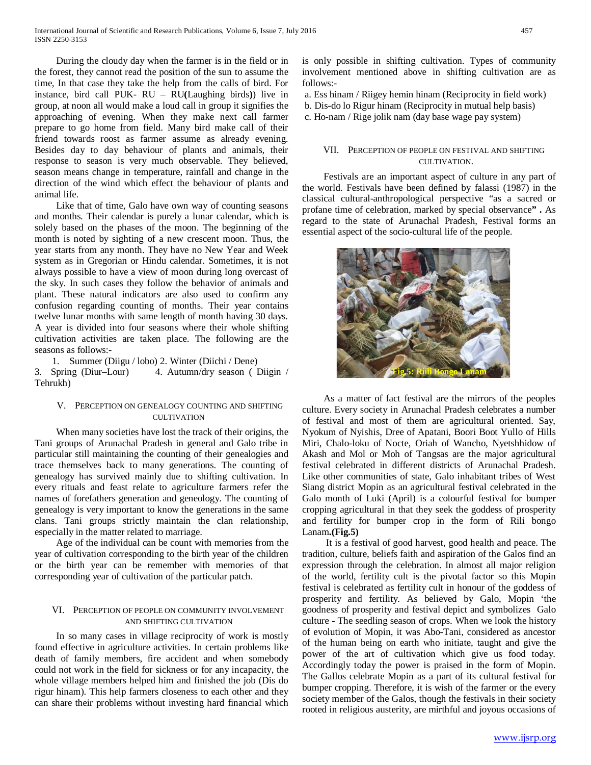During the cloudy day when the farmer is in the field or in the forest, they cannot read the position of the sun to assume the time, In that case they take the help from the calls of bird. For instance, bird call PUK- RU – RU**(**Laughing birds**)**) live in group, at noon all would make a loud call in group it signifies the approaching of evening. When they make next call farmer prepare to go home from field. Many bird make call of their friend towards roost as farmer assume as already evening. Besides day to day behaviour of plants and animals, their response to season is very much observable. They believed, season means change in temperature, rainfall and change in the direction of the wind which effect the behaviour of plants and animal life.

 Like that of time, Galo have own way of counting seasons and months. Their calendar is purely a lunar calendar, which is solely based on the phases of the moon. The beginning of the month is noted by sighting of a new crescent moon. Thus, the year starts from any month. They have no New Year and Week system as in Gregorian or Hindu calendar. Sometimes, it is not always possible to have a view of moon during long overcast of the sky. In such cases they follow the behavior of animals and plant. These natural indicators are also used to confirm any confusion regarding counting of months. Their year contains twelve lunar months with same length of month having 30 days. A year is divided into four seasons where their whole shifting cultivation activities are taken place. The following are the seasons as follows:-

1. Summer (Diigu / lobo) 2. Winter (Diichi / Dene)

3. Spring (Diur–Lour) 4. Autumn/dry season ( Diigin / Tehrukh)

# V. PERCEPTION ON GENEALOGY COUNTING AND SHIFTING CULTIVATION

 When many societies have lost the track of their origins, the Tani groups of Arunachal Pradesh in general and Galo tribe in particular still maintaining the counting of their genealogies and trace themselves back to many generations. The counting of genealogy has survived mainly due to shifting cultivation. In every rituals and feast relate to agriculture farmers refer the names of forefathers generation and geneology. The counting of genealogy is very important to know the generations in the same clans. Tani groups strictly maintain the clan relationship, especially in the matter related to marriage.

 Age of the individual can be count with memories from the year of cultivation corresponding to the birth year of the children or the birth year can be remember with memories of that corresponding year of cultivation of the particular patch.

# VI. PERCEPTION OF PEOPLE ON COMMUNITY INVOLVEMENT AND SHIFTING CULTIVATION

 In so many cases in village reciprocity of work is mostly found effective in agriculture activities. In certain problems like death of family members, fire accident and when somebody could not work in the field for sickness or for any incapacity, the whole village members helped him and finished the job (Dis do rigur hinam). This help farmers closeness to each other and they can share their problems without investing hard financial which is only possible in shifting cultivation. Types of community involvement mentioned above in shifting cultivation are as follows:-

a. Ess hinam / Riigey hemin hinam (Reciprocity in field work)

- b. Dis-do lo Rigur hinam (Reciprocity in mutual help basis)
- c. Ho-nam / Rige jolik nam (day base wage pay system)

# VII. PERCEPTION OF PEOPLE ON FESTIVAL AND SHIFTING CULTIVATION.

 Festivals are an important aspect of culture in any part of the world. Festivals have been defined by falassi (1987) in the classical cultural-anthropological perspective "as a sacred or profane time of celebration, marked by special observance**" .** As regard to the state of Arunachal Pradesh, Festival forms an essential aspect of the socio-cultural life of the people.



 As a matter of fact festival are the mirrors of the peoples culture. Every society in Arunachal Pradesh celebrates a number of festival and most of them are agricultural oriented. Say, Nyokum of Nyishis, Dree of Apatani, Boori Boot Yullo of Hills Miri, Chalo-loku of Nocte, Oriah of Wancho, Nyetshhidow of Akash and Mol or Moh of Tangsas are the major agricultural festival celebrated in different districts of Arunachal Pradesh. Like other communities of state, Galo inhabitant tribes of West Siang district Mopin as an agricultural festival celebrated in the Galo month of Luki (April) is a colourful festival for bumper cropping agricultural in that they seek the goddess of prosperity and fertility for bumper crop in the form of Rili bongo Lanam**.(Fig.5)**

 It is a festival of good harvest, good health and peace. The tradition, culture, beliefs faith and aspiration of the Galos find an expression through the celebration. In almost all major religion of the world, fertility cult is the pivotal factor so this Mopin festival is celebrated as fertility cult in honour of the goddess of prosperity and fertility. As believed by Galo, Mopin 'the goodness of prosperity and festival depict and symbolizes Galo culture - The seedling season of crops. When we look the history of evolution of Mopin, it was Abo-Tani, considered as ancestor of the human being on earth who initiate, taught and give the power of the art of cultivation which give us food today. Accordingly today the power is praised in the form of Mopin. The Gallos celebrate Mopin as a part of its cultural festival for bumper cropping. Therefore, it is wish of the farmer or the every society member of the Galos, though the festivals in their society rooted in religious austerity, are mirthful and joyous occasions of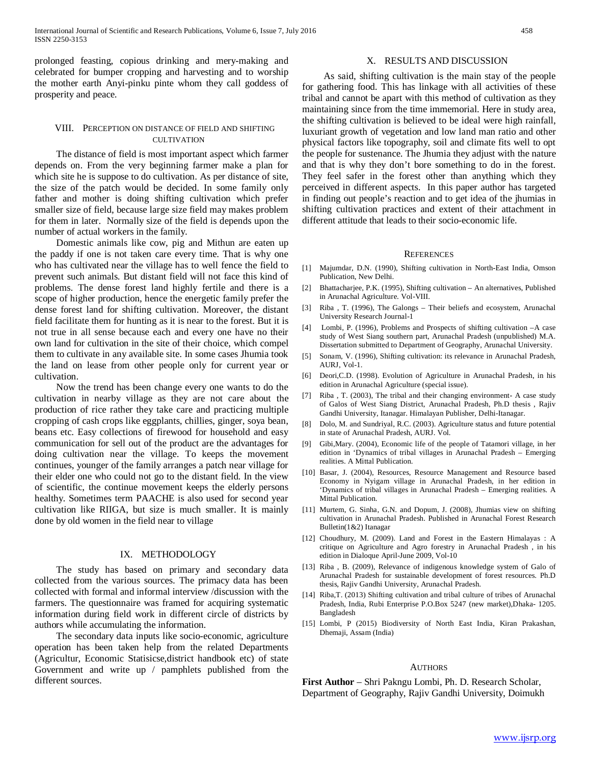prolonged feasting, copious drinking and mery-making and celebrated for bumper cropping and harvesting and to worship the mother earth Anyi-pinku pinte whom they call goddess of prosperity and peace.

# VIII. PERCEPTION ON DISTANCE OF FIELD AND SHIFTING CULTIVATION

 The distance of field is most important aspect which farmer depends on. From the very beginning farmer make a plan for which site he is suppose to do cultivation. As per distance of site, the size of the patch would be decided. In some family only father and mother is doing shifting cultivation which prefer smaller size of field, because large size field may makes problem for them in later. Normally size of the field is depends upon the number of actual workers in the family.

 Domestic animals like cow, pig and Mithun are eaten up the paddy if one is not taken care every time. That is why one who has cultivated near the village has to well fence the field to prevent such animals. But distant field will not face this kind of problems. The dense forest land highly fertile and there is a scope of higher production, hence the energetic family prefer the dense forest land for shifting cultivation. Moreover, the distant field facilitate them for hunting as it is near to the forest. But it is not true in all sense because each and every one have no their own land for cultivation in the site of their choice, which compel them to cultivate in any available site. In some cases Jhumia took the land on lease from other people only for current year or cultivation.

 Now the trend has been change every one wants to do the cultivation in nearby village as they are not care about the production of rice rather they take care and practicing multiple cropping of cash crops like eggplants, chillies, ginger, soya bean, beans etc. Easy collections of firewood for household and easy communication for sell out of the product are the advantages for doing cultivation near the village. To keeps the movement continues, younger of the family arranges a patch near village for their elder one who could not go to the distant field. In the view of scientific, the continue movement keeps the elderly persons healthy. Sometimes term PAACHE is also used for second year cultivation like RIIGA, but size is much smaller. It is mainly done by old women in the field near to village

#### IX. METHODOLOGY

 The study has based on primary and secondary data collected from the various sources. The primacy data has been collected with formal and informal interview /discussion with the farmers. The questionnaire was framed for acquiring systematic information during field work in different circle of districts by authors while accumulating the information.

 The secondary data inputs like socio-economic, agriculture operation has been taken help from the related Departments (Agricultur, Economic Statisicse,district handbook etc) of state Government and write up / pamphlets published from the different sources.

# X. RESULTS AND DISCUSSION

 As said, shifting cultivation is the main stay of the people for gathering food. This has linkage with all activities of these tribal and cannot be apart with this method of cultivation as they maintaining since from the time immemorial. Here in study area, the shifting cultivation is believed to be ideal were high rainfall, luxuriant growth of vegetation and low land man ratio and other physical factors like topography, soil and climate fits well to opt the people for sustenance. The Jhumia they adjust with the nature and that is why they don't bore something to do in the forest. They feel safer in the forest other than anything which they perceived in different aspects. In this paper author has targeted in finding out people's reaction and to get idea of the jhumias in shifting cultivation practices and extent of their attachment in different attitude that leads to their socio-economic life.

#### **REFERENCES**

- [1] Majumdar, D.N. (1990), Shifting cultivation in North-East India, Omson Publication, New Delhi.
- [2] Bhattacharjee, P.K. (1995), Shifting cultivation An alternatives, Published in Arunachal Agriculture. Vol-VIII.
- [3] Riba , T. (1996), The Galongs Their beliefs and ecosystem, Arunachal University Research Journal-1
- [4] Lombi, P. (1996), Problems and Prospects of shifting cultivation –A case study of West Siang southern part, Arunachal Pradesh (unpublished) M.A. Dissertation submitted to Department of Geography, Arunachal University.
- [5] Sonam, V. (1996), Shifting cultivation: its relevance in Arunachal Pradesh, AURJ, Vol-1.
- [6] Deori,C.D. (1998). Evolution of Agriculture in Arunachal Pradesh, in his edition in Arunachal Agriculture (special issue).
- [7] Riba , T. (2003), The tribal and their changing environment- A case study of Galos of West Siang District, Arunachal Pradesh, Ph.D thesis , Rajiv Gandhi University, Itanagar. Himalayan Publisher, Delhi-Itanagar.
- [8] Dolo, M. and Sundriyal, R.C. (2003). Agriculture status and future potential in state of Arunachal Pradesh, AURJ. Vol.
- [9] Gibi,Mary. (2004), Economic life of the people of Tatamori village, in her edition in 'Dynamics of tribal villages in Arunachal Pradesh – Emerging realities. A Mittal Publication.
- [10] Basar, J. (2004), Resources, Resource Management and Resource based Economy in Nyigam village in Arunachal Pradesh, in her edition in 'Dynamics of tribal villages in Arunachal Pradesh – Emerging realities. A Mittal Publication.
- [11] Murtem, G. Sinha, G.N. and Dopum, J. (2008), Jhumias view on shifting cultivation in Arunachal Pradesh. Published in Arunachal Forest Research Bulletin(1&2) Itanagar
- [12] Choudhury, M. (2009). Land and Forest in the Eastern Himalayas : A critique on Agriculture and Agro forestry in Arunachal Pradesh , in his edition in Dialoque April-June 2009, Vol-10
- [13] Riba , B. (2009), Relevance of indigenous knowledge system of Galo of Arunachal Pradesh for sustainable development of forest resources. Ph.D thesis, Rajiv Gandhi University, Arunachal Pradesh.
- [14] Riba,T. (2013) Shifting cultivation and tribal culture of tribes of Arunachal Pradesh, India, Rubi Enterprise P.O.Box 5247 (new market),Dhaka- 1205. Bangladesh
- [15] Lombi, P (2015) Biodiversity of North East India, Kiran Prakashan, Dhemaji, Assam (India)

#### **AUTHORS**

**First Author** – Shri Pakngu Lombi, Ph. D. Research Scholar, Department of Geography, Rajiv Gandhi University, Doimukh